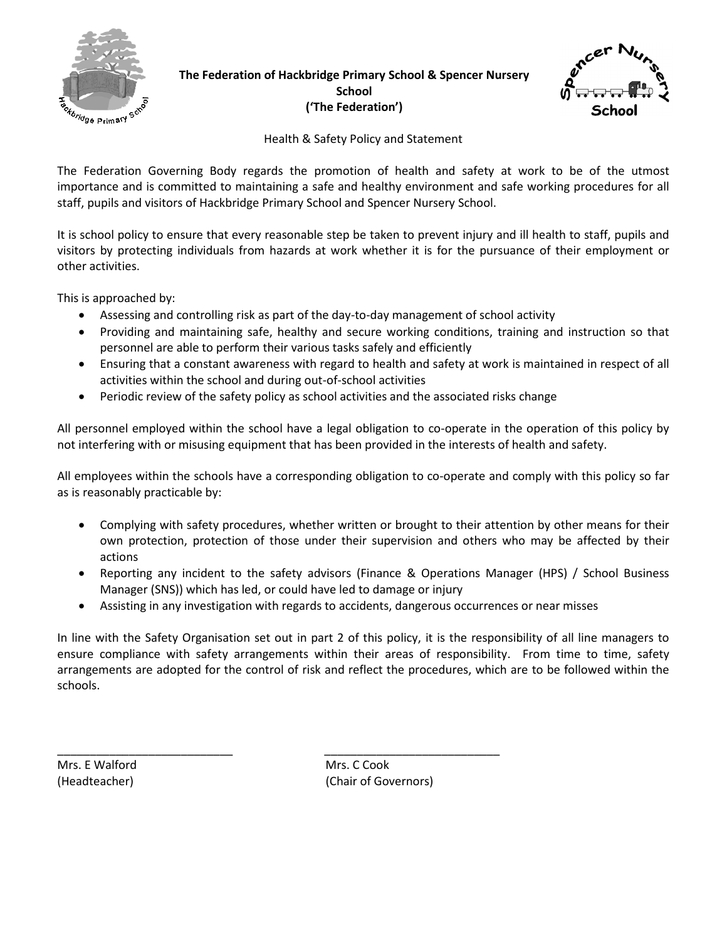

**The Federation of Hackbridge Primary School & Spencer Nursery School ('The Federation')**



Health & Safety Policy and Statement

The Federation Governing Body regards the promotion of health and safety at work to be of the utmost importance and is committed to maintaining a safe and healthy environment and safe working procedures for all staff, pupils and visitors of Hackbridge Primary School and Spencer Nursery School.

It is school policy to ensure that every reasonable step be taken to prevent injury and ill health to staff, pupils and visitors by protecting individuals from hazards at work whether it is for the pursuance of their employment or other activities.

This is approached by:

- Assessing and controlling risk as part of the day-to-day management of school activity
- Providing and maintaining safe, healthy and secure working conditions, training and instruction so that personnel are able to perform their various tasks safely and efficiently
- Ensuring that a constant awareness with regard to health and safety at work is maintained in respect of all activities within the school and during out-of-school activities
- Periodic review of the safety policy as school activities and the associated risks change

All personnel employed within the school have a legal obligation to co-operate in the operation of this policy by not interfering with or misusing equipment that has been provided in the interests of health and safety.

All employees within the schools have a corresponding obligation to co-operate and comply with this policy so far as is reasonably practicable by:

- Complying with safety procedures, whether written or brought to their attention by other means for their own protection, protection of those under their supervision and others who may be affected by their actions
- Reporting any incident to the safety advisors (Finance & Operations Manager (HPS) / School Business Manager (SNS)) which has led, or could have led to damage or injury
- Assisting in any investigation with regards to accidents, dangerous occurrences or near misses

\_\_\_\_\_\_\_\_\_\_\_\_\_\_\_\_\_\_\_\_\_\_\_\_\_\_\_ \_\_\_\_\_\_\_\_\_\_\_\_\_\_\_\_\_\_\_\_\_\_\_\_\_\_\_

In line with the Safety Organisation set out in part 2 of this policy, it is the responsibility of all line managers to ensure compliance with safety arrangements within their areas of responsibility. From time to time, safety arrangements are adopted for the control of risk and reflect the procedures, which are to be followed within the schools.

Mrs. E Walford **Mrs. C Cook** 

(Headteacher) (Chair of Governors)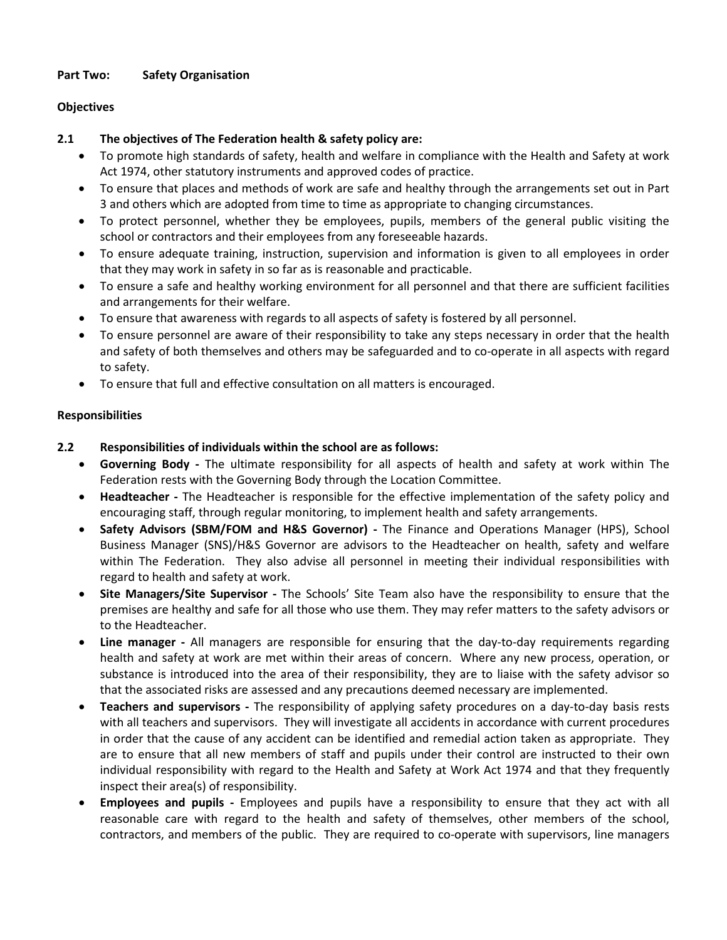## **Part Two: Safety Organisation**

## **Objectives**

## **2.1 The objectives of The Federation health & safety policy are:**

- To promote high standards of safety, health and welfare in compliance with the Health and Safety at work Act 1974, other statutory instruments and approved codes of practice.
- To ensure that places and methods of work are safe and healthy through the arrangements set out in Part 3 and others which are adopted from time to time as appropriate to changing circumstances.
- To protect personnel, whether they be employees, pupils, members of the general public visiting the school or contractors and their employees from any foreseeable hazards.
- To ensure adequate training, instruction, supervision and information is given to all employees in order that they may work in safety in so far as is reasonable and practicable.
- To ensure a safe and healthy working environment for all personnel and that there are sufficient facilities and arrangements for their welfare.
- To ensure that awareness with regards to all aspects of safety is fostered by all personnel.
- To ensure personnel are aware of their responsibility to take any steps necessary in order that the health and safety of both themselves and others may be safeguarded and to co-operate in all aspects with regard to safety.
- To ensure that full and effective consultation on all matters is encouraged.

## **Responsibilities**

## **2.2 Responsibilities of individuals within the school are as follows:**

- **Governing Body -** The ultimate responsibility for all aspects of health and safety at work within The Federation rests with the Governing Body through the Location Committee.
- **Headteacher -** The Headteacher is responsible for the effective implementation of the safety policy and encouraging staff, through regular monitoring, to implement health and safety arrangements.
- **Safety Advisors (SBM/FOM and H&S Governor) -** The Finance and Operations Manager (HPS), School Business Manager (SNS)/H&S Governor are advisors to the Headteacher on health, safety and welfare within The Federation. They also advise all personnel in meeting their individual responsibilities with regard to health and safety at work.
- **Site Managers/Site Supervisor -** The Schools' Site Team also have the responsibility to ensure that the premises are healthy and safe for all those who use them. They may refer matters to the safety advisors or to the Headteacher.
- **Line manager -** All managers are responsible for ensuring that the day-to-day requirements regarding health and safety at work are met within their areas of concern. Where any new process, operation, or substance is introduced into the area of their responsibility, they are to liaise with the safety advisor so that the associated risks are assessed and any precautions deemed necessary are implemented.
- **Teachers and supervisors -** The responsibility of applying safety procedures on a day-to-day basis rests with all teachers and supervisors. They will investigate all accidents in accordance with current procedures in order that the cause of any accident can be identified and remedial action taken as appropriate. They are to ensure that all new members of staff and pupils under their control are instructed to their own individual responsibility with regard to the Health and Safety at Work Act 1974 and that they frequently inspect their area(s) of responsibility.
- **Employees and pupils -** Employees and pupils have a responsibility to ensure that they act with all reasonable care with regard to the health and safety of themselves, other members of the school, contractors, and members of the public. They are required to co-operate with supervisors, line managers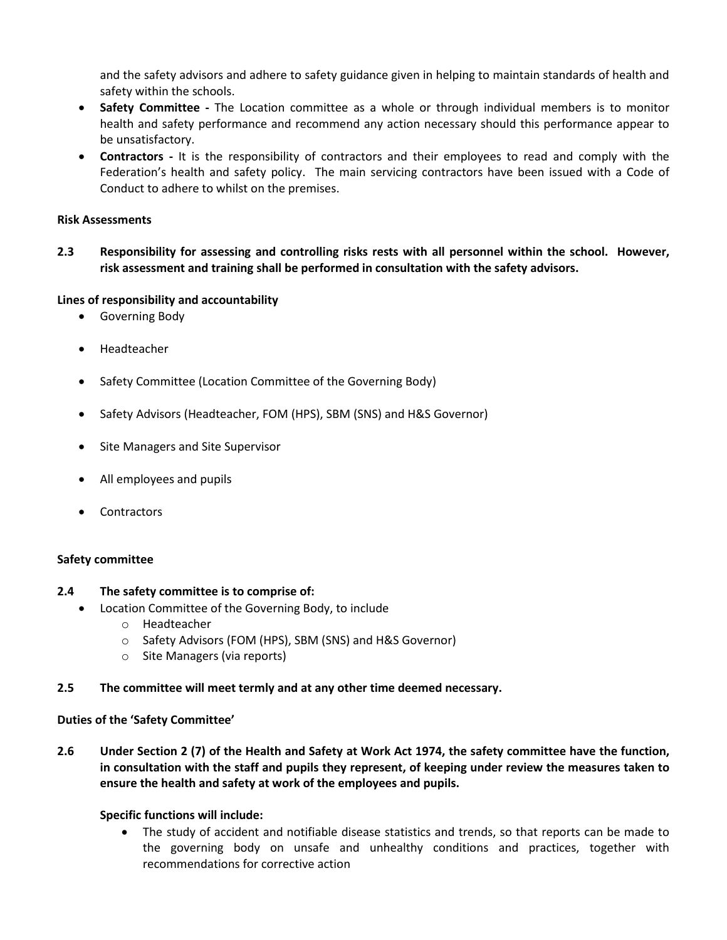and the safety advisors and adhere to safety guidance given in helping to maintain standards of health and safety within the schools.

- **Safety Committee -** The Location committee as a whole or through individual members is to monitor health and safety performance and recommend any action necessary should this performance appear to be unsatisfactory.
- **Contractors -** It is the responsibility of contractors and their employees to read and comply with the Federation's health and safety policy. The main servicing contractors have been issued with a Code of Conduct to adhere to whilst on the premises.

#### **Risk Assessments**

**2.3 Responsibility for assessing and controlling risks rests with all personnel within the school. However, risk assessment and training shall be performed in consultation with the safety advisors.** 

#### **Lines of responsibility and accountability**

- Governing Body
- Headteacher
- Safety Committee (Location Committee of the Governing Body)
- Safety Advisors (Headteacher, FOM (HPS), SBM (SNS) and H&S Governor)
- Site Managers and Site Supervisor
- All employees and pupils
- Contractors

#### **Safety committee**

#### **2.4 The safety committee is to comprise of:**

- Location Committee of the Governing Body, to include
	- o Headteacher
	- o Safety Advisors (FOM (HPS), SBM (SNS) and H&S Governor)
	- o Site Managers (via reports)

#### **2.5 The committee will meet termly and at any other time deemed necessary.**

#### **Duties of the 'Safety Committee'**

**2.6 Under Section 2 (7) of the Health and Safety at Work Act 1974, the safety committee have the function, in consultation with the staff and pupils they represent, of keeping under review the measures taken to ensure the health and safety at work of the employees and pupils.**

#### **Specific functions will include:**

• The study of accident and notifiable disease statistics and trends, so that reports can be made to the governing body on unsafe and unhealthy conditions and practices, together with recommendations for corrective action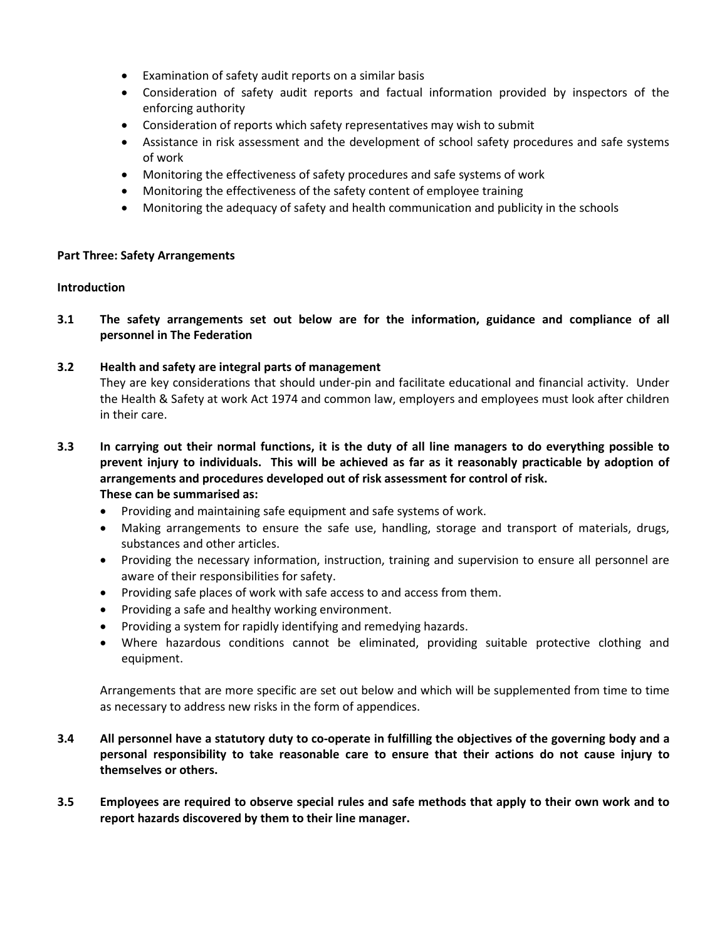- Examination of safety audit reports on a similar basis
- Consideration of safety audit reports and factual information provided by inspectors of the enforcing authority
- Consideration of reports which safety representatives may wish to submit
- Assistance in risk assessment and the development of school safety procedures and safe systems of work
- Monitoring the effectiveness of safety procedures and safe systems of work
- Monitoring the effectiveness of the safety content of employee training
- Monitoring the adequacy of safety and health communication and publicity in the schools

#### **Part Three: Safety Arrangements**

#### **Introduction**

**3.1 The safety arrangements set out below are for the information, guidance and compliance of all personnel in The Federation**

#### **3.2 Health and safety are integral parts of management**

They are key considerations that should under-pin and facilitate educational and financial activity. Under the Health & Safety at work Act 1974 and common law, employers and employees must look after children in their care.

- **3.3 In carrying out their normal functions, it is the duty of all line managers to do everything possible to prevent injury to individuals. This will be achieved as far as it reasonably practicable by adoption of arrangements and procedures developed out of risk assessment for control of risk. These can be summarised as:**
	- Providing and maintaining safe equipment and safe systems of work.
	- Making arrangements to ensure the safe use, handling, storage and transport of materials, drugs, substances and other articles.
	- Providing the necessary information, instruction, training and supervision to ensure all personnel are aware of their responsibilities for safety.
	- Providing safe places of work with safe access to and access from them.
	- Providing a safe and healthy working environment.
	- Providing a system for rapidly identifying and remedying hazards.
	- Where hazardous conditions cannot be eliminated, providing suitable protective clothing and equipment.

Arrangements that are more specific are set out below and which will be supplemented from time to time as necessary to address new risks in the form of appendices.

- **3.4 All personnel have a statutory duty to co-operate in fulfilling the objectives of the governing body and a personal responsibility to take reasonable care to ensure that their actions do not cause injury to themselves or others.**
- **3.5 Employees are required to observe special rules and safe methods that apply to their own work and to report hazards discovered by them to their line manager.**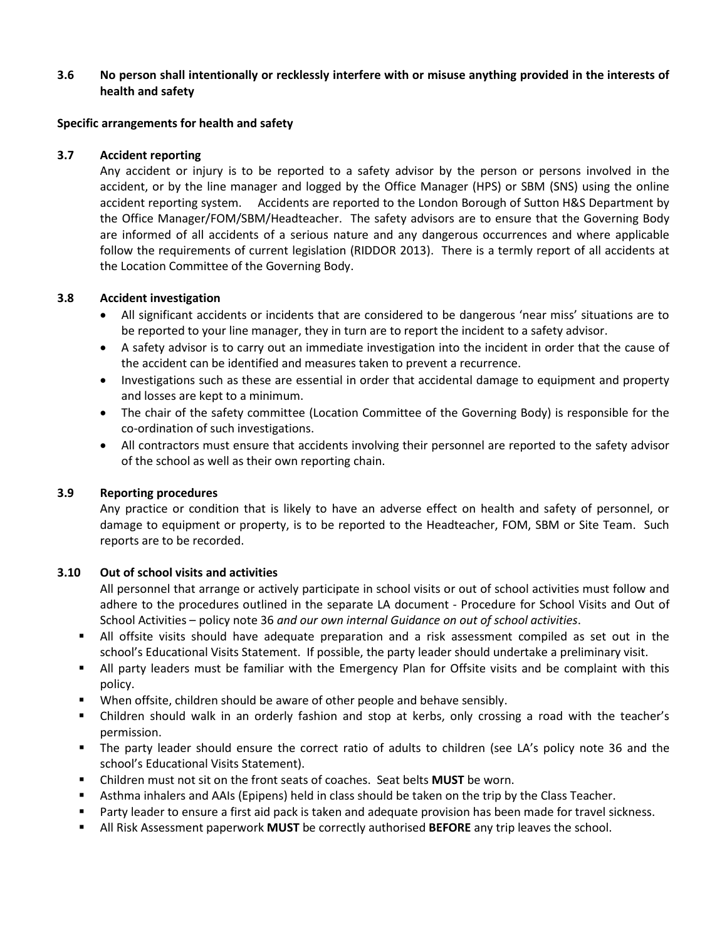## **3.6 No person shall intentionally or recklessly interfere with or misuse anything provided in the interests of health and safety**

#### **Specific arrangements for health and safety**

#### **3.7 Accident reporting**

Any accident or injury is to be reported to a safety advisor by the person or persons involved in the accident, or by the line manager and logged by the Office Manager (HPS) or SBM (SNS) using the online accident reporting system. Accidents are reported to the London Borough of Sutton H&S Department by the Office Manager/FOM/SBM/Headteacher. The safety advisors are to ensure that the Governing Body are informed of all accidents of a serious nature and any dangerous occurrences and where applicable follow the requirements of current legislation (RIDDOR 2013). There is a termly report of all accidents at the Location Committee of the Governing Body.

#### **3.8 Accident investigation**

- All significant accidents or incidents that are considered to be dangerous 'near miss' situations are to be reported to your line manager, they in turn are to report the incident to a safety advisor.
- A safety advisor is to carry out an immediate investigation into the incident in order that the cause of the accident can be identified and measures taken to prevent a recurrence.
- Investigations such as these are essential in order that accidental damage to equipment and property and losses are kept to a minimum.
- The chair of the safety committee (Location Committee of the Governing Body) is responsible for the co-ordination of such investigations.
- All contractors must ensure that accidents involving their personnel are reported to the safety advisor of the school as well as their own reporting chain.

#### **3.9 Reporting procedures**

Any practice or condition that is likely to have an adverse effect on health and safety of personnel, or damage to equipment or property, is to be reported to the Headteacher, FOM, SBM or Site Team. Such reports are to be recorded.

#### **3.10 Out of school visits and activities**

All personnel that arrange or actively participate in school visits or out of school activities must follow and adhere to the procedures outlined in the separate LA document - Procedure for School Visits and Out of School Activities – policy note 36 *and our own internal Guidance on out of school activities*.

- All offsite visits should have adequate preparation and a risk assessment compiled as set out in the school's Educational Visits Statement. If possible, the party leader should undertake a preliminary visit.
- All party leaders must be familiar with the Emergency Plan for Offsite visits and be complaint with this policy.
- When offsite, children should be aware of other people and behave sensibly.
- Children should walk in an orderly fashion and stop at kerbs, only crossing a road with the teacher's permission.
- The party leader should ensure the correct ratio of adults to children (see LA's policy note 36 and the school's Educational Visits Statement).
- Children must not sit on the front seats of coaches. Seat belts **MUST** be worn.
- Asthma inhalers and AAIs (Epipens) held in class should be taken on the trip by the Class Teacher.
- **Party leader to ensure a first aid pack is taken and adequate provision has been made for travel sickness.**
- All Risk Assessment paperwork **MUST** be correctly authorised **BEFORE** any trip leaves the school.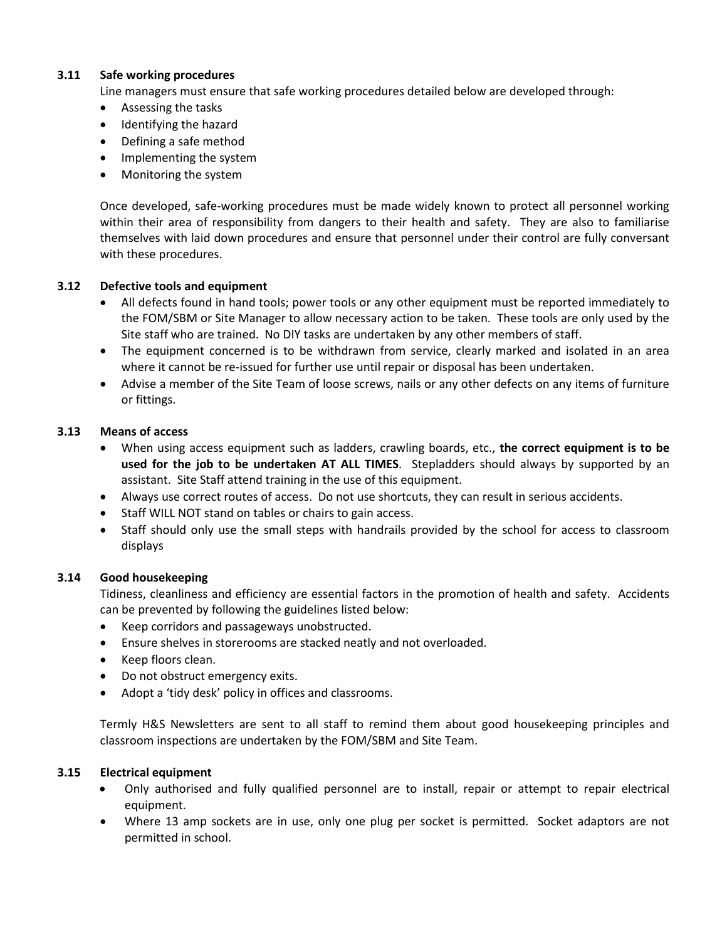## **3.11 Safe working procedures**

Line managers must ensure that safe working procedures detailed below are developed through:

- Assessing the tasks
- Identifying the hazard
- Defining a safe method
- Implementing the system
- Monitoring the system

Once developed, safe-working procedures must be made widely known to protect all personnel working within their area of responsibility from dangers to their health and safety. They are also to familiarise themselves with laid down procedures and ensure that personnel under their control are fully conversant with these procedures.

#### **3.12 Defective tools and equipment**

- All defects found in hand tools; power tools or any other equipment must be reported immediately to the FOM/SBM or Site Manager to allow necessary action to be taken. These tools are only used by the Site staff who are trained. No DIY tasks are undertaken by any other members of staff.
- The equipment concerned is to be withdrawn from service, clearly marked and isolated in an area where it cannot be re-issued for further use until repair or disposal has been undertaken.
- Advise a member of the Site Team of loose screws, nails or any other defects on any items of furniture or fittings.

#### **3.13 Means of access**

- When using access equipment such as ladders, crawling boards, etc., **the correct equipment is to be used for the job to be undertaken AT ALL TIMES**. Stepladders should always by supported by an assistant. Site Staff attend training in the use of this equipment.
- Always use correct routes of access. Do not use shortcuts, they can result in serious accidents.
- Staff WILL NOT stand on tables or chairs to gain access.
- Staff should only use the small steps with handrails provided by the school for access to classroom displays

#### **3.14 Good housekeeping**

Tidiness, cleanliness and efficiency are essential factors in the promotion of health and safety. Accidents can be prevented by following the guidelines listed below:

- Keep corridors and passageways unobstructed.
- Ensure shelves in storerooms are stacked neatly and not overloaded.
- Keep floors clean.
- Do not obstruct emergency exits.
- Adopt a 'tidy desk' policy in offices and classrooms.

Termly H&S Newsletters are sent to all staff to remind them about good housekeeping principles and classroom inspections are undertaken by the FOM/SBM and Site Team.

#### **3.15 Electrical equipment**

- Only authorised and fully qualified personnel are to install, repair or attempt to repair electrical equipment.
- Where 13 amp sockets are in use, only one plug per socket is permitted. Socket adaptors are not permitted in school.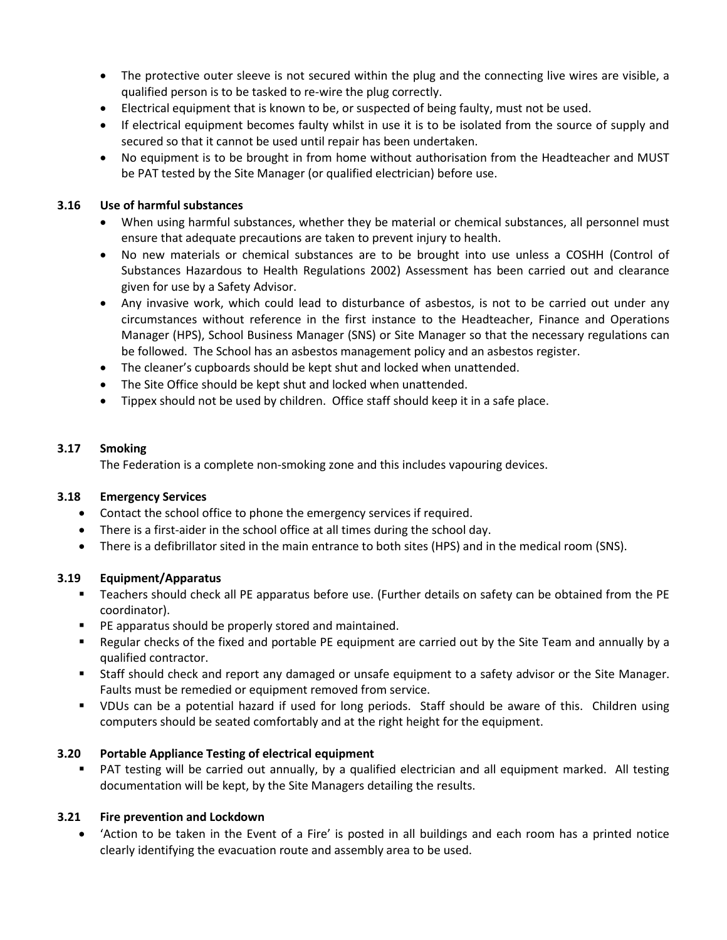- The protective outer sleeve is not secured within the plug and the connecting live wires are visible, a qualified person is to be tasked to re-wire the plug correctly.
- Electrical equipment that is known to be, or suspected of being faulty, must not be used.
- If electrical equipment becomes faulty whilst in use it is to be isolated from the source of supply and secured so that it cannot be used until repair has been undertaken.
- No equipment is to be brought in from home without authorisation from the Headteacher and MUST be PAT tested by the Site Manager (or qualified electrician) before use.

# **3.16 Use of harmful substances**

- When using harmful substances, whether they be material or chemical substances, all personnel must ensure that adequate precautions are taken to prevent injury to health.
- No new materials or chemical substances are to be brought into use unless a COSHH (Control of Substances Hazardous to Health Regulations 2002) Assessment has been carried out and clearance given for use by a Safety Advisor.
- Any invasive work, which could lead to disturbance of asbestos, is not to be carried out under any circumstances without reference in the first instance to the Headteacher, Finance and Operations Manager (HPS), School Business Manager (SNS) or Site Manager so that the necessary regulations can be followed. The School has an asbestos management policy and an asbestos register.
- The cleaner's cupboards should be kept shut and locked when unattended.
- The Site Office should be kept shut and locked when unattended.
- Tippex should not be used by children. Office staff should keep it in a safe place.

# **3.17 Smoking**

The Federation is a complete non-smoking zone and this includes vapouring devices.

# **3.18 Emergency Services**

- Contact the school office to phone the emergency services if required.
- There is a first-aider in the school office at all times during the school day.
- There is a defibrillator sited in the main entrance to both sites (HPS) and in the medical room (SNS).

# **3.19 Equipment/Apparatus**

- Teachers should check all PE apparatus before use. (Further details on safety can be obtained from the PE coordinator).
- PE apparatus should be properly stored and maintained.
- Regular checks of the fixed and portable PE equipment are carried out by the Site Team and annually by a qualified contractor.
- Staff should check and report any damaged or unsafe equipment to a safety advisor or the Site Manager. Faults must be remedied or equipment removed from service.
- VDUs can be a potential hazard if used for long periods. Staff should be aware of this. Children using computers should be seated comfortably and at the right height for the equipment.

# **3.20 Portable Appliance Testing of electrical equipment**

PAT testing will be carried out annually, by a qualified electrician and all equipment marked. All testing documentation will be kept, by the Site Managers detailing the results.

# **3.21 Fire prevention and Lockdown**

• 'Action to be taken in the Event of a Fire' is posted in all buildings and each room has a printed notice clearly identifying the evacuation route and assembly area to be used.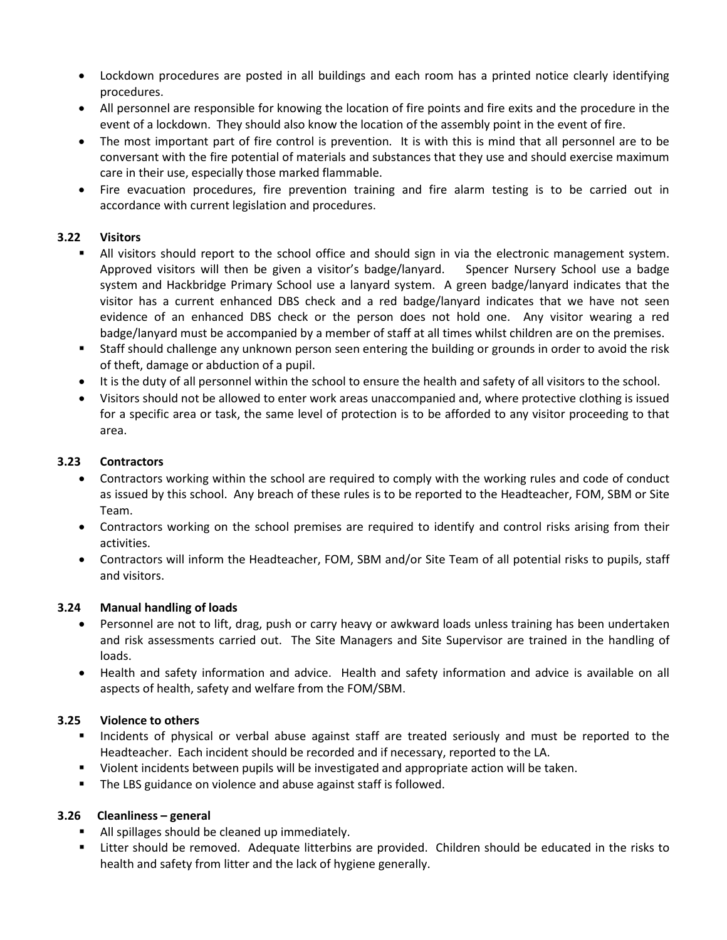- Lockdown procedures are posted in all buildings and each room has a printed notice clearly identifying procedures.
- All personnel are responsible for knowing the location of fire points and fire exits and the procedure in the event of a lockdown. They should also know the location of the assembly point in the event of fire.
- The most important part of fire control is prevention. It is with this is mind that all personnel are to be conversant with the fire potential of materials and substances that they use and should exercise maximum care in their use, especially those marked flammable.
- Fire evacuation procedures, fire prevention training and fire alarm testing is to be carried out in accordance with current legislation and procedures.

# **3.22 Visitors**

- All visitors should report to the school office and should sign in via the electronic management system. Approved visitors will then be given a visitor's badge/lanyard. Spencer Nursery School use a badge system and Hackbridge Primary School use a lanyard system. A green badge/lanyard indicates that the visitor has a current enhanced DBS check and a red badge/lanyard indicates that we have not seen evidence of an enhanced DBS check or the person does not hold one. Any visitor wearing a red badge/lanyard must be accompanied by a member of staff at all times whilst children are on the premises.
- Staff should challenge any unknown person seen entering the building or grounds in order to avoid the risk of theft, damage or abduction of a pupil.
- It is the duty of all personnel within the school to ensure the health and safety of all visitors to the school.
- Visitors should not be allowed to enter work areas unaccompanied and, where protective clothing is issued for a specific area or task, the same level of protection is to be afforded to any visitor proceeding to that area.

# **3.23 Contractors**

- Contractors working within the school are required to comply with the working rules and code of conduct as issued by this school. Any breach of these rules is to be reported to the Headteacher, FOM, SBM or Site Team.
- Contractors working on the school premises are required to identify and control risks arising from their activities.
- Contractors will inform the Headteacher, FOM, SBM and/or Site Team of all potential risks to pupils, staff and visitors.

# **3.24 Manual handling of loads**

- Personnel are not to lift, drag, push or carry heavy or awkward loads unless training has been undertaken and risk assessments carried out. The Site Managers and Site Supervisor are trained in the handling of loads.
- Health and safety information and advice. Health and safety information and advice is available on all aspects of health, safety and welfare from the FOM/SBM.

# **3.25 Violence to others**

- **Incidents of physical or verbal abuse against staff are treated seriously and must be reported to the** Headteacher. Each incident should be recorded and if necessary, reported to the LA.
- Violent incidents between pupils will be investigated and appropriate action will be taken.
- **The LBS guidance on violence and abuse against staff is followed.**

# **3.26 Cleanliness – general**

- All spillages should be cleaned up immediately.
- Litter should be removed. Adequate litterbins are provided. Children should be educated in the risks to health and safety from litter and the lack of hygiene generally.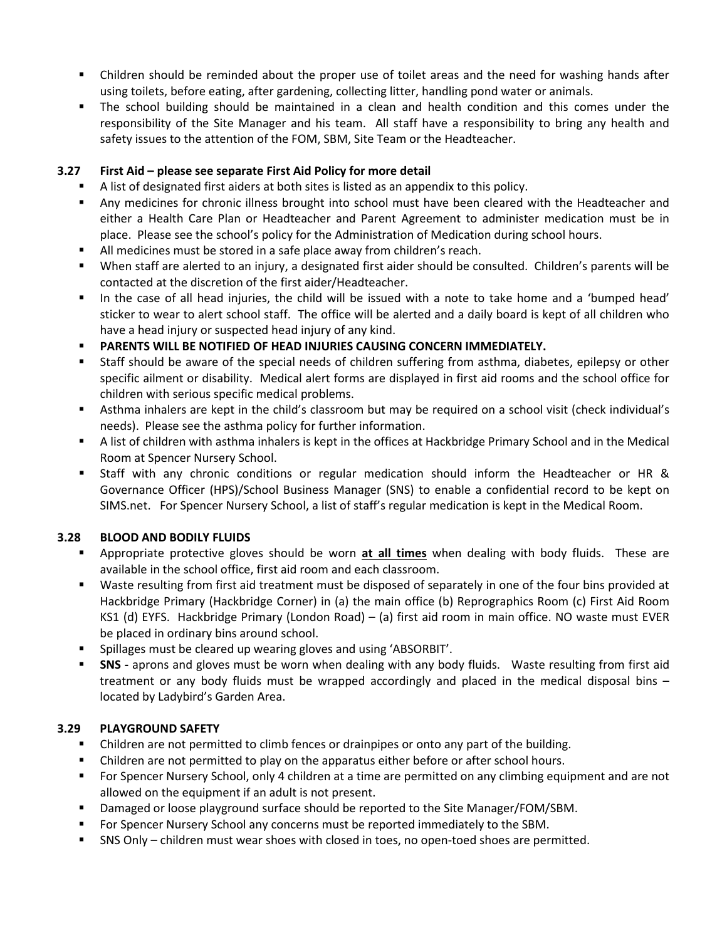- Children should be reminded about the proper use of toilet areas and the need for washing hands after using toilets, before eating, after gardening, collecting litter, handling pond water or animals.
- The school building should be maintained in a clean and health condition and this comes under the responsibility of the Site Manager and his team. All staff have a responsibility to bring any health and safety issues to the attention of the FOM, SBM, Site Team or the Headteacher.

# **3.27 First Aid – please see separate First Aid Policy for more detail**

- A list of designated first aiders at both sites is listed as an appendix to this policy.
- Any medicines for chronic illness brought into school must have been cleared with the Headteacher and either a Health Care Plan or Headteacher and Parent Agreement to administer medication must be in place. Please see the school's policy for the Administration of Medication during school hours.
- All medicines must be stored in a safe place away from children's reach.
- When staff are alerted to an injury, a designated first aider should be consulted. Children's parents will be contacted at the discretion of the first aider/Headteacher.
- In the case of all head injuries, the child will be issued with a note to take home and a 'bumped head' sticker to wear to alert school staff. The office will be alerted and a daily board is kept of all children who have a head injury or suspected head injury of any kind.
- **PARENTS WILL BE NOTIFIED OF HEAD INJURIES CAUSING CONCERN IMMEDIATELY.**
- Staff should be aware of the special needs of children suffering from asthma, diabetes, epilepsy or other specific ailment or disability. Medical alert forms are displayed in first aid rooms and the school office for children with serious specific medical problems.
- Asthma inhalers are kept in the child's classroom but may be required on a school visit (check individual's needs). Please see the asthma policy for further information.
- A list of children with asthma inhalers is kept in the offices at Hackbridge Primary School and in the Medical Room at Spencer Nursery School.
- Staff with any chronic conditions or regular medication should inform the Headteacher or HR & Governance Officer (HPS)/School Business Manager (SNS) to enable a confidential record to be kept on SIMS.net. For Spencer Nursery School, a list of staff's regular medication is kept in the Medical Room.

# **3.28 BLOOD AND BODILY FLUIDS**

- Appropriate protective gloves should be worn **at all times** when dealing with body fluids. These are available in the school office, first aid room and each classroom.
- Waste resulting from first aid treatment must be disposed of separately in one of the four bins provided at Hackbridge Primary (Hackbridge Corner) in (a) the main office (b) Reprographics Room (c) First Aid Room KS1 (d) EYFS. Hackbridge Primary (London Road) – (a) first aid room in main office. NO waste must EVER be placed in ordinary bins around school.
- **Spillages must be cleared up wearing gloves and using 'ABSORBIT'.**
- **SNS -** aprons and gloves must be worn when dealing with any body fluids. Waste resulting from first aid treatment or any body fluids must be wrapped accordingly and placed in the medical disposal bins – located by Ladybird's Garden Area.

# **3.29 PLAYGROUND SAFETY**

- Children are not permitted to climb fences or drainpipes or onto any part of the building.
- Children are not permitted to play on the apparatus either before or after school hours.
- **For Spencer Nursery School, only 4 children at a time are permitted on any climbing equipment and are not** allowed on the equipment if an adult is not present.
- **Damaged or loose playground surface should be reported to the Site Manager/FOM/SBM.**
- **For Spencer Nursery School any concerns must be reported immediately to the SBM.**
- SNS Only children must wear shoes with closed in toes, no open-toed shoes are permitted.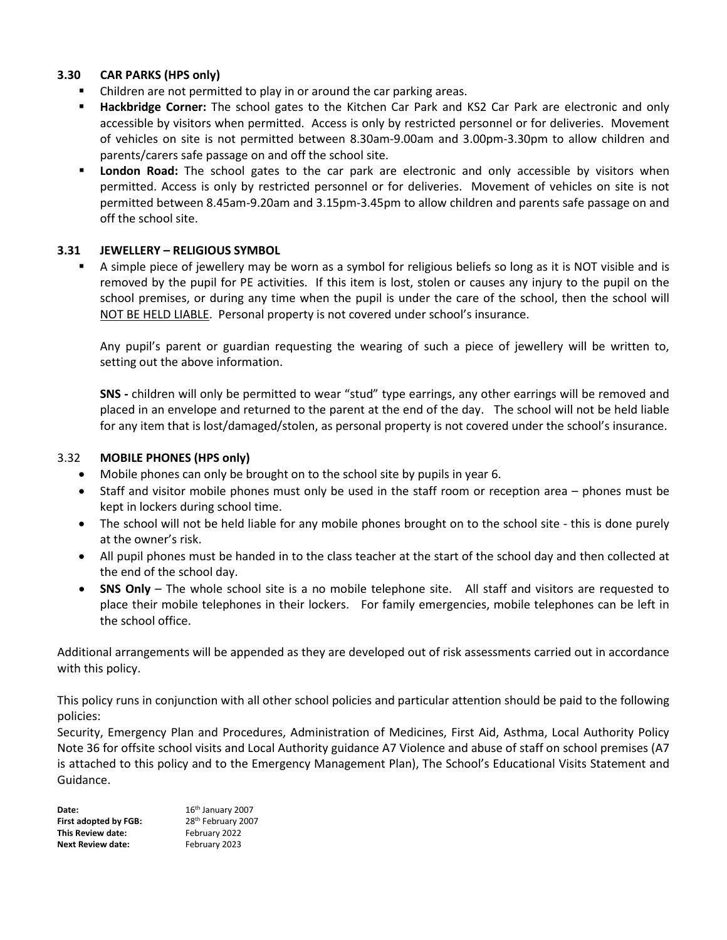## **3.30 CAR PARKS (HPS only)**

- Children are not permitted to play in or around the car parking areas.
- **Hackbridge Corner:** The school gates to the Kitchen Car Park and KS2 Car Park are electronic and only accessible by visitors when permitted. Access is only by restricted personnel or for deliveries. Movement of vehicles on site is not permitted between 8.30am-9.00am and 3.00pm-3.30pm to allow children and parents/carers safe passage on and off the school site.
- **London Road:** The school gates to the car park are electronic and only accessible by visitors when permitted. Access is only by restricted personnel or for deliveries. Movement of vehicles on site is not permitted between 8.45am-9.20am and 3.15pm-3.45pm to allow children and parents safe passage on and off the school site.

## **3.31 JEWELLERY – RELIGIOUS SYMBOL**

 A simple piece of jewellery may be worn as a symbol for religious beliefs so long as it is NOT visible and is removed by the pupil for PE activities. If this item is lost, stolen or causes any injury to the pupil on the school premises, or during any time when the pupil is under the care of the school, then the school will NOT BE HELD LIABLE. Personal property is not covered under school's insurance.

Any pupil's parent or guardian requesting the wearing of such a piece of jewellery will be written to, setting out the above information.

**SNS -** children will only be permitted to wear "stud" type earrings, any other earrings will be removed and placed in an envelope and returned to the parent at the end of the day. The school will not be held liable for any item that is lost/damaged/stolen, as personal property is not covered under the school's insurance.

#### 3.32 **MOBILE PHONES (HPS only)**

- Mobile phones can only be brought on to the school site by pupils in year 6.
- Staff and visitor mobile phones must only be used in the staff room or reception area phones must be kept in lockers during school time.
- The school will not be held liable for any mobile phones brought on to the school site this is done purely at the owner's risk.
- All pupil phones must be handed in to the class teacher at the start of the school day and then collected at the end of the school day.
- **SNS Only** The whole school site is a no mobile telephone site. All staff and visitors are requested to place their mobile telephones in their lockers. For family emergencies, mobile telephones can be left in the school office.

Additional arrangements will be appended as they are developed out of risk assessments carried out in accordance with this policy.

This policy runs in conjunction with all other school policies and particular attention should be paid to the following policies:

Security, Emergency Plan and Procedures, Administration of Medicines, First Aid, Asthma, Local Authority Policy Note 36 for offsite school visits and Local Authority guidance A7 Violence and abuse of staff on school premises (A7 is attached to this policy and to the Emergency Management Plan), The School's Educational Visits Statement and Guidance.

**Date:** 16<sup>th</sup> January 2007 **First adopted by FGB:** 28<sup>th</sup> February 2007 **This Review date:** February 2022 **Next Review date:** February 2023